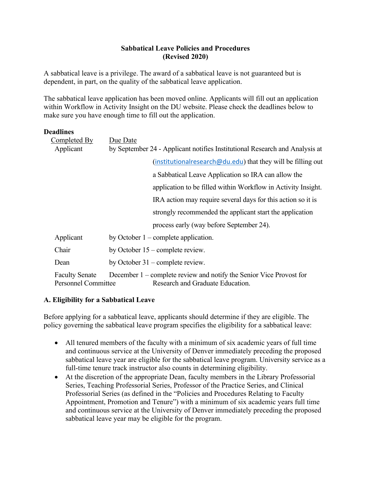## **Sabbatical Leave Policies and Procedures (Revised 2020)**

A sabbatical leave is a privilege. The award of a sabbatical leave is not guaranteed but is dependent, in part, on the quality of the sabbatical leave application.

The sabbatical leave application has been moved online. Applicants will fill out an application within Workflow in Activity Insight on the DU website. Please check the deadlines below to make sure you have enough time to fill out the application.

#### **Deadlines**

| Completed By                                        | Due Date                                                                                                |
|-----------------------------------------------------|---------------------------------------------------------------------------------------------------------|
| Applicant                                           | by September 24 - Applicant notifies Institutional Research and Analysis at                             |
|                                                     | (institutional research $@du$ edu) that they will be filling out                                        |
|                                                     | a Sabbatical Leave Application so IRA can allow the                                                     |
|                                                     | application to be filled within Workflow in Activity Insight.                                           |
|                                                     | IRA action may require several days for this action so it is                                            |
|                                                     | strongly recommended the applicant start the application                                                |
|                                                     | process early (way before September 24).                                                                |
| Applicant                                           | by October $1$ – complete application.                                                                  |
| Chair                                               | by October $15$ – complete review.                                                                      |
| Dean                                                | by October $31$ – complete review.                                                                      |
| <b>Faculty Senate</b><br><b>Personnel Committee</b> | December 1 – complete review and notify the Senior Vice Provost for<br>Research and Graduate Education. |

## **A. Eligibility for a Sabbatical Leave**

Before applying for a sabbatical leave, applicants should determine if they are eligible. The policy governing the sabbatical leave program specifies the eligibility for a sabbatical leave:

- All tenured members of the faculty with a minimum of six academic years of full time and continuous service at the University of Denver immediately preceding the proposed sabbatical leave year are eligible for the sabbatical leave program. University service as a full-time tenure track instructor also counts in determining eligibility.
- At the discretion of the appropriate Dean, faculty members in the Library Professorial Series, Teaching Professorial Series, Professor of the Practice Series, and Clinical Professorial Series (as defined in the "Policies and Procedures Relating to Faculty Appointment, Promotion and Tenure") with a minimum of six academic years full time and continuous service at the University of Denver immediately preceding the proposed sabbatical leave year may be eligible for the program.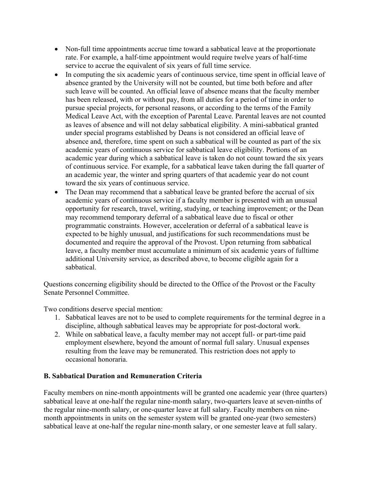- Non-full time appointments accrue time toward a sabbatical leave at the proportionate rate. For example, a half-time appointment would require twelve years of half-time service to accrue the equivalent of six years of full time service.
- In computing the six academic years of continuous service, time spent in official leave of absence granted by the University will not be counted, but time both before and after such leave will be counted. An official leave of absence means that the faculty member has been released, with or without pay, from all duties for a period of time in order to pursue special projects, for personal reasons, or according to the terms of the Family Medical Leave Act, with the exception of Parental Leave. Parental leaves are not counted as leaves of absence and will not delay sabbatical eligibility. A mini-sabbatical granted under special programs established by Deans is not considered an official leave of absence and, therefore, time spent on such a sabbatical will be counted as part of the six academic years of continuous service for sabbatical leave eligibility. Portions of an academic year during which a sabbatical leave is taken do not count toward the six years of continuous service. For example, for a sabbatical leave taken during the fall quarter of an academic year, the winter and spring quarters of that academic year do not count toward the six years of continuous service.
- The Dean may recommend that a sabbatical leave be granted before the accrual of six academic years of continuous service if a faculty member is presented with an unusual opportunity for research, travel, writing, studying, or teaching improvement; or the Dean may recommend temporary deferral of a sabbatical leave due to fiscal or other programmatic constraints. However, acceleration or deferral of a sabbatical leave is expected to be highly unusual, and justifications for such recommendations must be documented and require the approval of the Provost. Upon returning from sabbatical leave, a faculty member must accumulate a minimum of six academic years of fulltime additional University service, as described above, to become eligible again for a sabbatical.

Questions concerning eligibility should be directed to the Office of the Provost or the Faculty Senate Personnel Committee.

Two conditions deserve special mention:

- 1. Sabbatical leaves are not to be used to complete requirements for the terminal degree in a discipline, although sabbatical leaves may be appropriate for post-doctoral work.
- 2. While on sabbatical leave, a faculty member may not accept full- or part-time paid employment elsewhere, beyond the amount of normal full salary. Unusual expenses resulting from the leave may be remunerated. This restriction does not apply to occasional honoraria.

## **B. Sabbatical Duration and Remuneration Criteria**

Faculty members on nine-month appointments will be granted one academic year (three quarters) sabbatical leave at one-half the regular nine-month salary, two-quarters leave at seven-ninths of the regular nine-month salary, or one-quarter leave at full salary. Faculty members on ninemonth appointments in units on the semester system will be granted one-year (two semesters) sabbatical leave at one-half the regular nine-month salary, or one semester leave at full salary.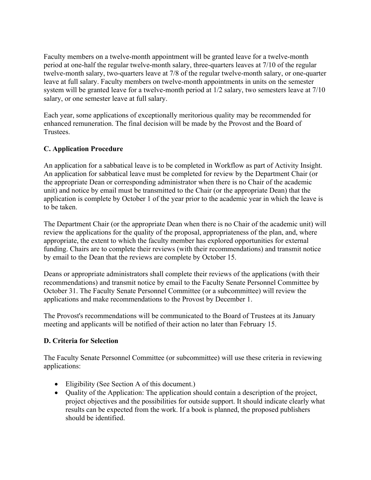Faculty members on a twelve-month appointment will be granted leave for a twelve-month period at one-half the regular twelve-month salary, three-quarters leaves at 7/10 of the regular twelve-month salary, two-quarters leave at 7/8 of the regular twelve-month salary, or one-quarter leave at full salary. Faculty members on twelve-month appointments in units on the semester system will be granted leave for a twelve-month period at 1/2 salary, two semesters leave at 7/10 salary, or one semester leave at full salary.

Each year, some applications of exceptionally meritorious quality may be recommended for enhanced remuneration. The final decision will be made by the Provost and the Board of Trustees.

## **C. Application Procedure**

An application for a sabbatical leave is to be completed in Workflow as part of Activity Insight. An application for sabbatical leave must be completed for review by the Department Chair (or the appropriate Dean or corresponding administrator when there is no Chair of the academic unit) and notice by email must be transmitted to the Chair (or the appropriate Dean) that the application is complete by October 1 of the year prior to the academic year in which the leave is to be taken.

The Department Chair (or the appropriate Dean when there is no Chair of the academic unit) will review the applications for the quality of the proposal, appropriateness of the plan, and, where appropriate, the extent to which the faculty member has explored opportunities for external funding. Chairs are to complete their reviews (with their recommendations) and transmit notice by email to the Dean that the reviews are complete by October 15.

Deans or appropriate administrators shall complete their reviews of the applications (with their recommendations) and transmit notice by email to the Faculty Senate Personnel Committee by October 31. The Faculty Senate Personnel Committee (or a subcommittee) will review the applications and make recommendations to the Provost by December 1.

The Provost's recommendations will be communicated to the Board of Trustees at its January meeting and applicants will be notified of their action no later than February 15.

## **D. Criteria for Selection**

The Faculty Senate Personnel Committee (or subcommittee) will use these criteria in reviewing applications:

- Eligibility (See Section A of this document.)
- Quality of the Application: The application should contain a description of the project, project objectives and the possibilities for outside support. It should indicate clearly what results can be expected from the work. If a book is planned, the proposed publishers should be identified.